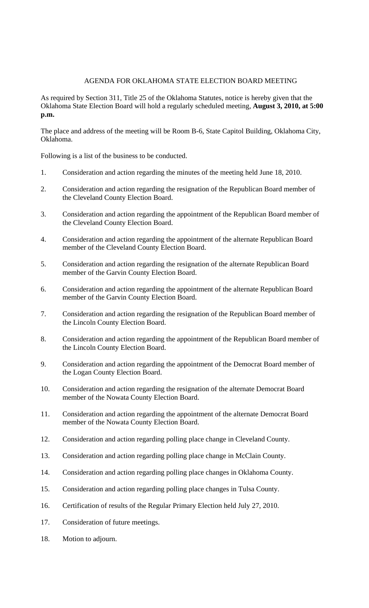## AGENDA FOR OKLAHOMA STATE ELECTION BOARD MEETING

As required by Section 311, Title 25 of the Oklahoma Statutes, notice is hereby given that the Oklahoma State Election Board will hold a regularly scheduled meeting, **August 3, 2010, at 5:00 p.m.**

The place and address of the meeting will be Room B-6, State Capitol Building, Oklahoma City, Oklahoma.

Following is a list of the business to be conducted.

- 1. Consideration and action regarding the minutes of the meeting held June 18, 2010.
- 2. Consideration and action regarding the resignation of the Republican Board member of the Cleveland County Election Board.
- 3. Consideration and action regarding the appointment of the Republican Board member of the Cleveland County Election Board.
- 4. Consideration and action regarding the appointment of the alternate Republican Board member of the Cleveland County Election Board.
- 5. Consideration and action regarding the resignation of the alternate Republican Board member of the Garvin County Election Board.
- 6. Consideration and action regarding the appointment of the alternate Republican Board member of the Garvin County Election Board.
- 7. Consideration and action regarding the resignation of the Republican Board member of the Lincoln County Election Board.
- 8. Consideration and action regarding the appointment of the Republican Board member of the Lincoln County Election Board.
- 9. Consideration and action regarding the appointment of the Democrat Board member of the Logan County Election Board.
- 10. Consideration and action regarding the resignation of the alternate Democrat Board member of the Nowata County Election Board.
- 11. Consideration and action regarding the appointment of the alternate Democrat Board member of the Nowata County Election Board.
- 12. Consideration and action regarding polling place change in Cleveland County.
- 13. Consideration and action regarding polling place change in McClain County.
- 14. Consideration and action regarding polling place changes in Oklahoma County.
- 15. Consideration and action regarding polling place changes in Tulsa County.
- 16. Certification of results of the Regular Primary Election held July 27, 2010.
- 17. Consideration of future meetings.
- 18. Motion to adjourn.